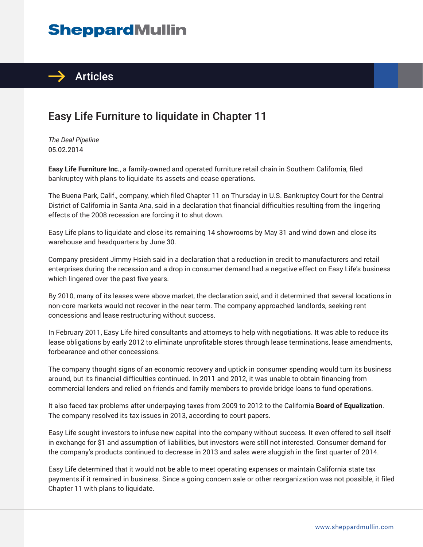## **SheppardMullin**



## Easy Life Furniture to liquidate in Chapter 11

*The Deal Pipeline* 05.02.2014

**Easy Life Furniture Inc.**, a family-owned and operated furniture retail chain in Southern California, filed bankruptcy with plans to liquidate its assets and cease operations.

The Buena Park, Calif., company, which filed Chapter 11 on Thursday in U.S. Bankruptcy Court for the Central District of California in Santa Ana, said in a declaration that financial difficulties resulting from the lingering effects of the 2008 recession are forcing it to shut down.

Easy Life plans to liquidate and close its remaining 14 showrooms by May 31 and wind down and close its warehouse and headquarters by June 30.

Company president Jimmy Hsieh said in a declaration that a reduction in credit to manufacturers and retail enterprises during the recession and a drop in consumer demand had a negative effect on Easy Life's business which lingered over the past five years.

By 2010, many of its leases were above market, the declaration said, and it determined that several locations in non-core markets would not recover in the near term. The company approached landlords, seeking rent concessions and lease restructuring without success.

In February 2011, Easy Life hired consultants and attorneys to help with negotiations. It was able to reduce its lease obligations by early 2012 to eliminate unprofitable stores through lease terminations, lease amendments, forbearance and other concessions.

The company thought signs of an economic recovery and uptick in consumer spending would turn its business around, but its financial difficulties continued. In 2011 and 2012, it was unable to obtain financing from commercial lenders and relied on friends and family members to provide bridge loans to fund operations.

It also faced tax problems after underpaying taxes from 2009 to 2012 to the California **Board of Equalization**. The company resolved its tax issues in 2013, according to court papers.

Easy Life sought investors to infuse new capital into the company without success. It even offered to sell itself in exchange for \$1 and assumption of liabilities, but investors were still not interested. Consumer demand for the company's products continued to decrease in 2013 and sales were sluggish in the first quarter of 2014.

Easy Life determined that it would not be able to meet operating expenses or maintain California state tax payments if it remained in business. Since a going concern sale or other reorganization was not possible, it filed Chapter 11 with plans to liquidate.